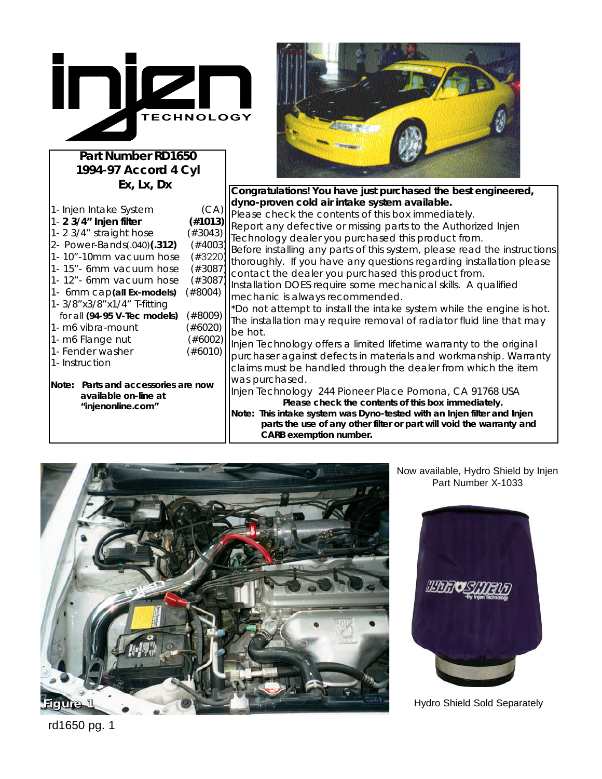

**Part Number RD1650 1994-97 Accord 4 Cyl Ex, Lx, Dx**

| 1- Injen Intake System                                         | (CA)       |
|----------------------------------------------------------------|------------|
| 1- 2 3/4" Injen filter                                         | (#1013)    |
| 1-2 3/4" straight hose                                         | $(\#3043)$ |
| 2- Power-Bands(.040)(.312)                                     | $(*4003)$  |
| 1-10"-10mm vacuum hose                                         | $(\#3220)$ |
| 1-15"- 6mm vacuum hose                                         | $(\#3087)$ |
| 1-12" - 6mm vacuum hose                                        | $(\#3087)$ |
| 1- 6mm cap(all Ex-models)                                      | $(\#8004)$ |
| 1- 3/8" x3/8" x1/4" T-fitting                                  |            |
| for all (94-95 V-Tec models)                                   | $(\#8009)$ |
| 1- m6 vibra-mount                                              | $(\#6020)$ |
| 1- m6 Flange nut                                               | $(\#6002)$ |
| 1- Fender washer                                               | $(\#6010)$ |
| 1- Instruction                                                 |            |
|                                                                |            |
| Parts and accessories are now<br>Note:<br>available on-line at |            |

**"injenonline.com"** 



**Congratulations! You have just purchased the best engineered, dyno-proven cold air intake system available.** Please check the contents of this box immediately. Report any defective or missing parts to the Authorized Injen Technology dealer you purchased this product from. Before installing any parts of this system, please read the instructions thoroughly. If you have any questions regarding installation please contact the dealer you purchased this product from. Installation DOES require some mechanical skills. A qualified mechanic is always recommended. \*Do not attempt to install the intake system while the engine is hot. The installation may require removal of radiator fluid line that may be hot. Injen Technology offers a limited lifetime warranty to the original purchaser against defects in materials and workmanship. Warranty claims must be handled through the dealer from which the item was purchased. Injen Technology 244 Pioneer Place Pomona, CA 91768 USA **Please check the contents of this box immediately. Note: This intake system was Dyno-tested with an Injen filter and Injen parts the use of any other filter or part will void the warranty and CARB exemption number.**



Now available, Hydro Shield by Injen Part Number X-1033



Hydro Shield Sold Separately

rd1650 pg. 1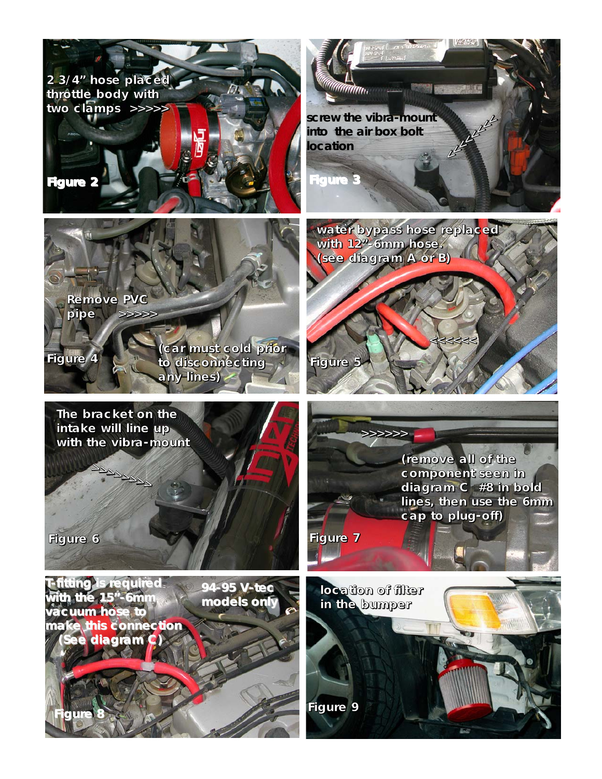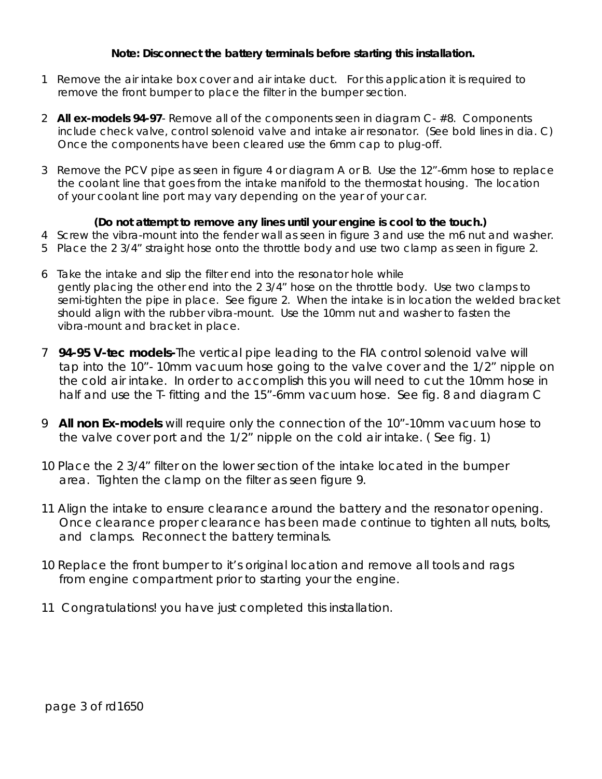## **Note: Disconnect the battery terminals before starting this installation.**

- 1 Remove the air intake box cover and air intake duct. For this application it is required to remove the front bumper to place the filter in the bumper section.
- 2 **All ex-models 94-97** Remove all of the components seen in diagram C- #8. Components include check valve, control solenoid valve and intake air resonator. (See bold lines in dia. C) Once the components have been cleared use the 6mm cap to plug-off.
- 3 Remove the PCV pipe as seen in figure 4 or diagram A or B. Use the 12"-6mm hose to replace the coolant line that goes from the intake manifold to the thermostat housing. The location of your coolant line port may vary depending on the year of your car.

## **(Do not attempt to remove any lines until your engine is cool to the touch.)**

- 4 Screw the vibra-mount into the fender wall as seen in figure 3 and use the m6 nut and washer.
- 5 Place the 2 3/4" straight hose onto the throttle body and use two clamp as seen in figure 2.
- 6 Take the intake and slip the filter end into the resonator hole while gently placing the other end into the 2 3/4" hose on the throttle body. Use two clamps to semi-tighten the pipe in place. See figure 2. When the intake is in location the welded bracket should align with the rubber vibra-mount. Use the 10mm nut and washer to fasten the vibra-mount and bracket in place.
- 7 **94-95 V-tec models-**The vertical pipe leading to the FIA control solenoid valve will tap into the 10"- 10mm vacuum hose going to the valve cover and the 1/2" nipple on the cold air intake. In order to accomplish this you will need to cut the 10mm hose in half and use the T- fitting and the 15"-6mm vacuum hose. See fig. 8 and diagram C
- 9 **All non Ex-models** will require only the connection of the 10"-10mm vacuum hose to the valve cover port and the 1/2" nipple on the cold air intake. ( See fig. 1)
- 10 Place the 2 3/4" filter on the lower section of the intake located in the bumper area. Tighten the clamp on the filter as seen figure 9.
- 11 Align the intake to ensure clearance around the battery and the resonator opening. Once clearance proper clearance has been made continue to tighten all nuts, bolts, and clamps. Reconnect the battery terminals.
- 10 Replace the front bumper to it's original location and remove all tools and rags from engine compartment prior to starting your the engine.
- 11 Congratulations! you have just completed this installation.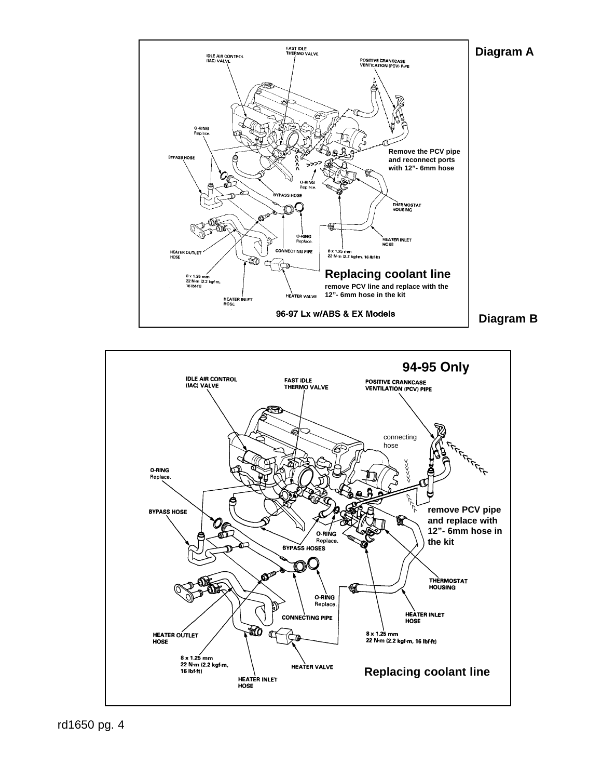



rd1650 pg. 4